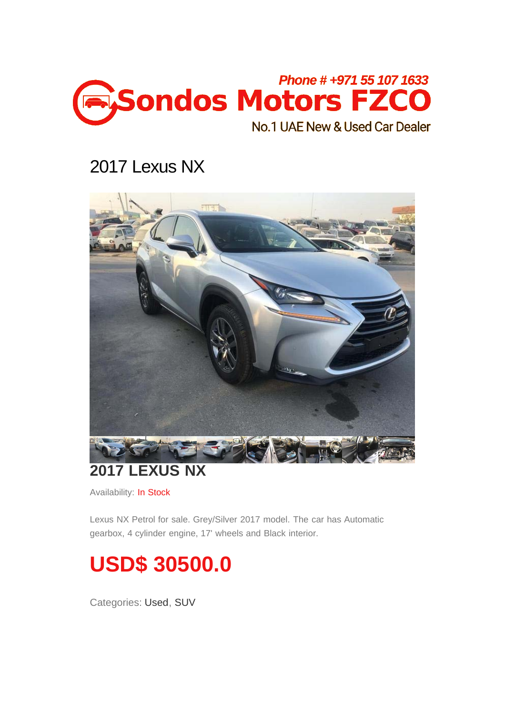

## 2017 Lexus NX



#### **2017 LEXUS NX**

Availability: In Stock

Lexus NX Petrol for sale. Grey/Silver 2017 model. The car has Automatic gearbox, 4 cylinder engine, 17' wheels and Black interior.



Categories: [Used,](javascript:void(0);) [SUV](javascript:void(0);)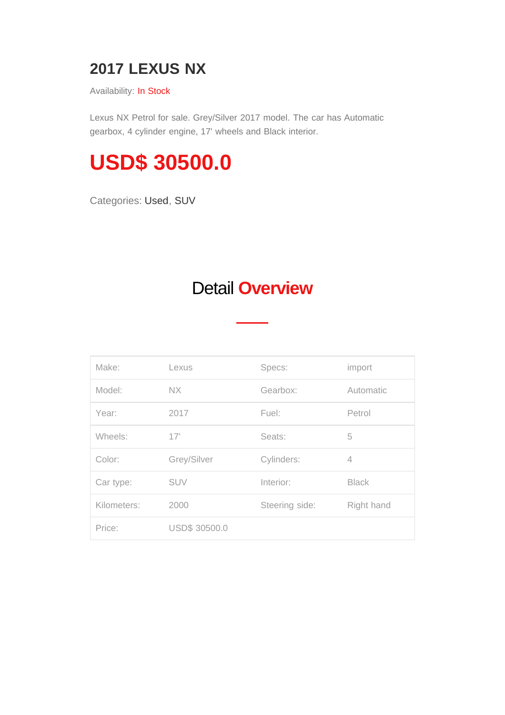#### **2017 LEXUS NX**

Availability: In Stock

Lexus NX Petrol for sale. Grey/Silver 2017 model. The car has Automatic gearbox, 4 cylinder engine, 17' wheels and Black interior.

# **USD\$ 30500.0**

Categories: [Used,](javascript:void(0);) [SUV](javascript:void(0);)

### Detail **Overview**

| Make:       | Lexus                | Specs:         | import       |
|-------------|----------------------|----------------|--------------|
| Model:      | <b>NX</b>            | Gearbox:       | Automatic    |
| Year:       | 2017                 | Fuel:          | Petrol       |
| Wheels:     | 17'                  | Seats:         | 5            |
| Color:      | Grey/Silver          | Cylinders:     | 4            |
| Car type:   | <b>SUV</b>           | Interior:      | <b>Black</b> |
| Kilometers: | 2000                 | Steering side: | Right hand   |
| Price:      | <b>USD\$ 30500.0</b> |                |              |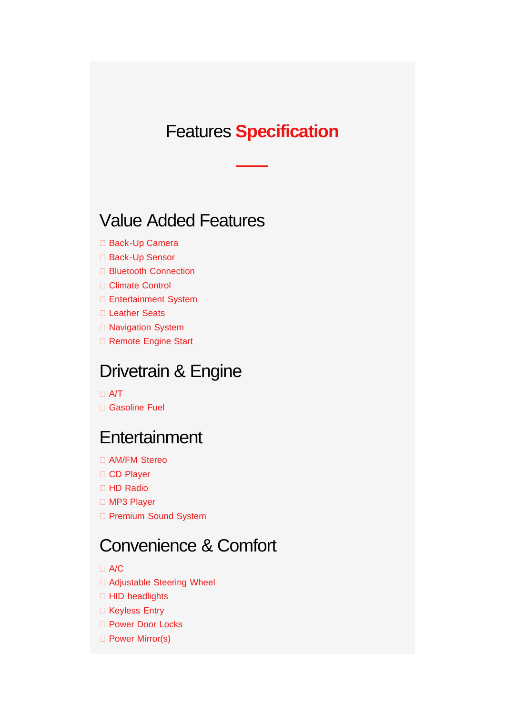#### **Features Specification**

#### **Value Added Features**

- □ Back-Up Camera
- □ Back-Up Sensor
- □ Bluetooth Connection
- □ Climate Control
- □ Entertainment System
- □ Leather Seats
- □ Navigation System
- □ Remote Engine Start

#### Drivetrain & Engine

#### $\Box$  A/T

□ Gasoline Fuel

#### Entertainment

- □ AM/FM Stereo
- □ CD Player
- □ HD Radio
- □ MP3 Player
- **D** Premium Sound System

#### **Convenience & Comfort**

 $\Box$  A/C

- □ Adjustable Steering Wheel
- □ HID headlights
- □ Keyless Entry
- □ Power Door Locks
- □ Power Mirror(s)